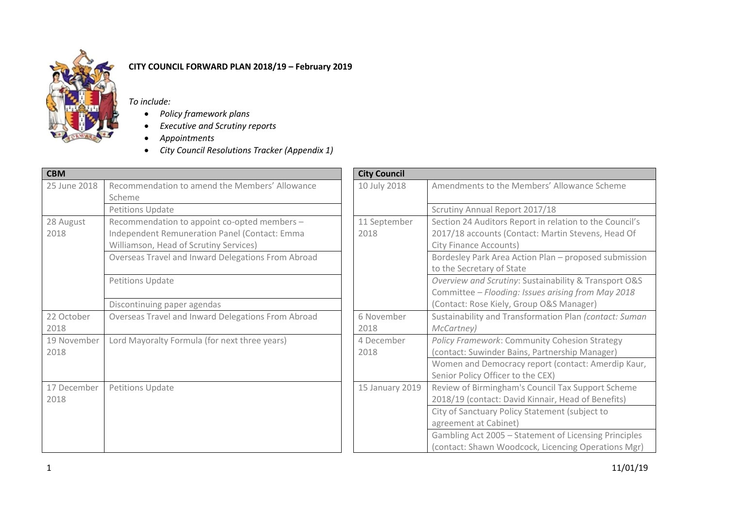

## **CITY COUNCIL FORWARD PLAN 2018/19 – February 2019**

*To include:* 

- *Policy framework plans*
- *Executive and Scrutiny reports*
- *Appointments*
- *City Council Resolutions Tracker (Appendix 1)*

| <b>CBM</b>   |                                                          | <b>City Council</b> |                                                         |
|--------------|----------------------------------------------------------|---------------------|---------------------------------------------------------|
| 25 June 2018 | Recommendation to amend the Members' Allowance<br>Scheme | 10 July 2018        | Amendments to the Members' Allowance Scheme             |
|              | <b>Petitions Update</b>                                  |                     | Scrutiny Annual Report 2017/18                          |
| 28 August    | Recommendation to appoint co-opted members -             | 11 September        | Section 24 Auditors Report in relation to the Council's |
| 2018         | Independent Remuneration Panel (Contact: Emma            | 2018                | 2017/18 accounts (Contact: Martin Stevens, Head Of      |
|              | Williamson, Head of Scrutiny Services)                   |                     | <b>City Finance Accounts)</b>                           |
|              | Overseas Travel and Inward Delegations From Abroad       |                     | Bordesley Park Area Action Plan - proposed submission   |
|              |                                                          |                     | to the Secretary of State                               |
|              | Petitions Update                                         |                     | Overview and Scrutiny: Sustainability & Transport O&S   |
|              |                                                          |                     | Committee - Flooding: Issues arising from May 2018      |
|              | Discontinuing paper agendas                              |                     | (Contact: Rose Kiely, Group O&S Manager)                |
| 22 October   | Overseas Travel and Inward Delegations From Abroad       | 6 November          | Sustainability and Transformation Plan (contact: Suman  |
| 2018         |                                                          | 2018                | McCartney)                                              |
| 19 November  | Lord Mayoralty Formula (for next three years)            | 4 December          | Policy Framework: Community Cohesion Strategy           |
| 2018         |                                                          | 2018                | (contact: Suwinder Bains, Partnership Manager)          |
|              |                                                          |                     | Women and Democracy report (contact: Amerdip Kaur,      |
|              |                                                          |                     | Senior Policy Officer to the CEX)                       |
| 17 December  | <b>Petitions Update</b>                                  | 15 January 2019     | Review of Birmingham's Council Tax Support Scheme       |
| 2018         |                                                          |                     | 2018/19 (contact: David Kinnair, Head of Benefits)      |
|              |                                                          |                     | City of Sanctuary Policy Statement (subject to          |
|              |                                                          |                     | agreement at Cabinet)                                   |
|              |                                                          |                     | Gambling Act 2005 - Statement of Licensing Principles   |
|              |                                                          |                     | (contact: Shawn Woodcock, Licencing Operations Mgr)     |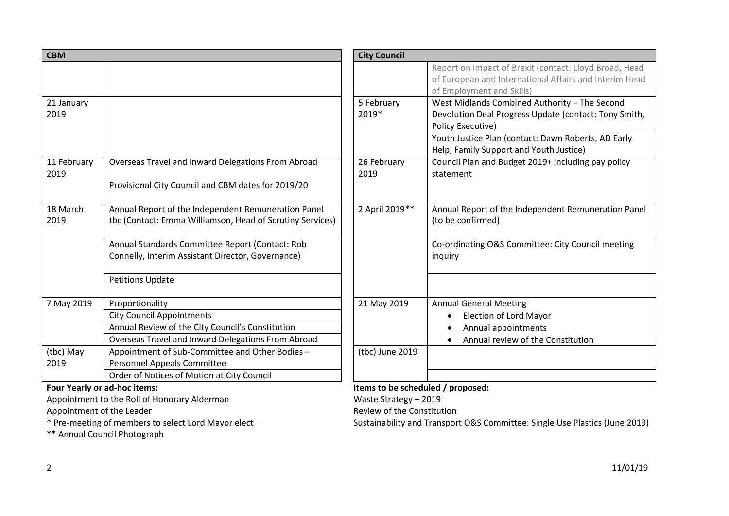| <b>CBM</b>          |                                                                                                                                                               | <b>City Council</b> |                                                                                                                                                                                                                               |
|---------------------|---------------------------------------------------------------------------------------------------------------------------------------------------------------|---------------------|-------------------------------------------------------------------------------------------------------------------------------------------------------------------------------------------------------------------------------|
|                     |                                                                                                                                                               |                     | Report on Impact of Brexit (contact: Lloyd Broad, Head<br>of European and International Affairs and Interim Head<br>of Employment and Skills)                                                                                 |
| 21 January<br>2019  |                                                                                                                                                               | 5 February<br>2019* | West Midlands Combined Authority - The Second<br>Devolution Deal Progress Update (contact: Tony Smith,<br>Policy Executive)<br>Youth Justice Plan (contact: Dawn Roberts, AD Early<br>Help, Family Support and Youth Justice) |
| 11 February<br>2019 | Overseas Travel and Inward Delegations From Abroad<br>Provisional City Council and CBM dates for 2019/20                                                      | 26 February<br>2019 | Council Plan and Budget 2019+ including pay policy<br>statement                                                                                                                                                               |
| 18 March<br>2019    | Annual Report of the Independent Remuneration Panel<br>tbc (Contact: Emma Williamson, Head of Scrutiny Services)                                              | 2 April 2019**      | Annual Report of the Independent Remuneration Panel<br>(to be confirmed)                                                                                                                                                      |
|                     | Annual Standards Committee Report (Contact: Rob<br>Connelly, Interim Assistant Director, Governance)                                                          |                     | Co-ordinating O&S Committee: City Council meeting<br>inquiry                                                                                                                                                                  |
|                     | <b>Petitions Update</b>                                                                                                                                       |                     |                                                                                                                                                                                                                               |
| 7 May 2019          | Proportionality<br><b>City Council Appointments</b><br>Annual Review of the City Council's Constitution<br>Overseas Travel and Inward Delegations From Abroad | 21 May 2019         | <b>Annual General Meeting</b><br><b>Election of Lord Mayor</b><br>$\bullet$<br>Annual appointments<br>Annual review of the Constitution                                                                                       |
| (tbc) May<br>2019   | Appointment of Sub-Committee and Other Bodies -<br><b>Personnel Appeals Committee</b><br>Order of Notices of Motion at City Council                           | (tbc) June 2019     |                                                                                                                                                                                                                               |

Appointment to the Roll of Honorary Alderman<br>Appointment of the Leader<br>Appointment of the Leader

Appointment of the Leader

\* Pre-meeting of members to select Lord Mayor elect

\*\* Annual Council Photograph

## Four Yearly or ad-hoc items: **Items to be scheduled / proposed:** Items to be scheduled / proposed:

Sustainability and Transport O&S Committee: Single Use Plastics (June 2019)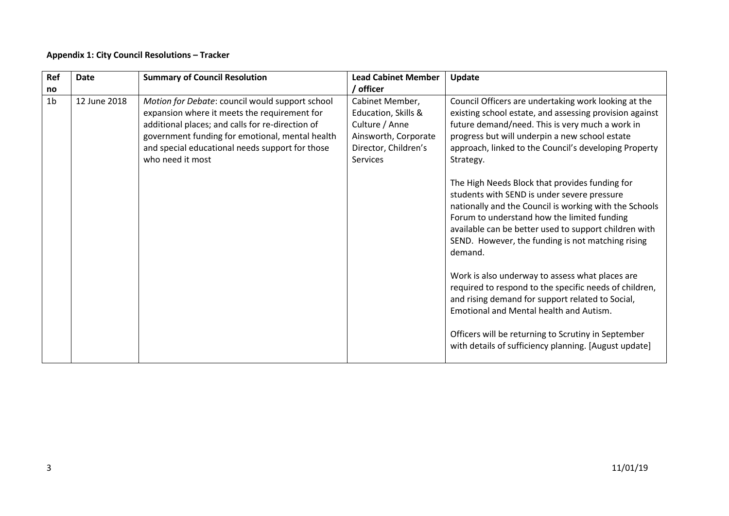## **Appendix 1: City Council Resolutions – Tracker**

| / officer<br>no<br>1 <sub>b</sub><br>12 June 2018<br>Motion for Debate: council would support school<br>Council Officers are undertaking work looking at the<br>Cabinet Member,                                                                                                                                                                                                                                                                                                                                                                                                                                                                                                                                                                                                                                                                                                                                                                                                                                                                                                                                                                                                                                                      |
|--------------------------------------------------------------------------------------------------------------------------------------------------------------------------------------------------------------------------------------------------------------------------------------------------------------------------------------------------------------------------------------------------------------------------------------------------------------------------------------------------------------------------------------------------------------------------------------------------------------------------------------------------------------------------------------------------------------------------------------------------------------------------------------------------------------------------------------------------------------------------------------------------------------------------------------------------------------------------------------------------------------------------------------------------------------------------------------------------------------------------------------------------------------------------------------------------------------------------------------|
|                                                                                                                                                                                                                                                                                                                                                                                                                                                                                                                                                                                                                                                                                                                                                                                                                                                                                                                                                                                                                                                                                                                                                                                                                                      |
| expansion where it meets the requirement for<br>Education, Skills &<br>existing school estate, and assessing provision against<br>additional places; and calls for re-direction of<br>Culture / Anne<br>future demand/need. This is very much a work in<br>government funding for emotional, mental health<br>Ainsworth, Corporate<br>progress but will underpin a new school estate<br>and special educational needs support for those<br>Director, Children's<br>approach, linked to the Council's developing Property<br>who need it most<br>Services<br>Strategy.<br>The High Needs Block that provides funding for<br>students with SEND is under severe pressure<br>nationally and the Council is working with the Schools<br>Forum to understand how the limited funding<br>available can be better used to support children with<br>SEND. However, the funding is not matching rising<br>demand.<br>Work is also underway to assess what places are<br>required to respond to the specific needs of children,<br>and rising demand for support related to Social,<br>Emotional and Mental health and Autism.<br>Officers will be returning to Scrutiny in September<br>with details of sufficiency planning. [August update] |
|                                                                                                                                                                                                                                                                                                                                                                                                                                                                                                                                                                                                                                                                                                                                                                                                                                                                                                                                                                                                                                                                                                                                                                                                                                      |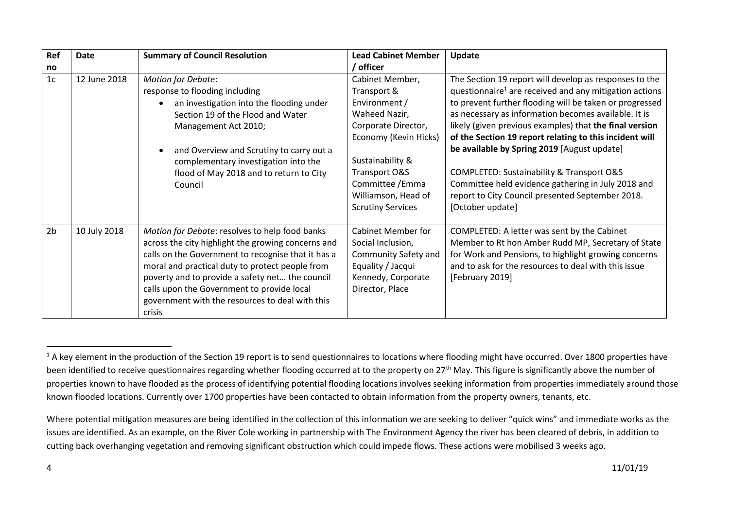| Ref            | Date         | <b>Summary of Council Resolution</b>                                                                                                                                                                                                                                                                                                                                        | <b>Lead Cabinet Member</b>                                                                                                                                                                                                   | Update                                                                                                                                                                                                                                                                                                                                                                                                                                                                                                                                                                                          |
|----------------|--------------|-----------------------------------------------------------------------------------------------------------------------------------------------------------------------------------------------------------------------------------------------------------------------------------------------------------------------------------------------------------------------------|------------------------------------------------------------------------------------------------------------------------------------------------------------------------------------------------------------------------------|-------------------------------------------------------------------------------------------------------------------------------------------------------------------------------------------------------------------------------------------------------------------------------------------------------------------------------------------------------------------------------------------------------------------------------------------------------------------------------------------------------------------------------------------------------------------------------------------------|
| no             |              |                                                                                                                                                                                                                                                                                                                                                                             | / officer                                                                                                                                                                                                                    |                                                                                                                                                                                                                                                                                                                                                                                                                                                                                                                                                                                                 |
| 1 <sub>c</sub> | 12 June 2018 | <b>Motion for Debate:</b><br>response to flooding including<br>an investigation into the flooding under<br>Section 19 of the Flood and Water<br>Management Act 2010;<br>and Overview and Scrutiny to carry out a<br>complementary investigation into the<br>flood of May 2018 and to return to City<br>Council                                                              | Cabinet Member,<br>Transport &<br>Environment /<br>Waheed Nazir,<br>Corporate Director,<br>Economy (Kevin Hicks)<br>Sustainability &<br>Transport O&S<br>Committee / Emma<br>Williamson, Head of<br><b>Scrutiny Services</b> | The Section 19 report will develop as responses to the<br>questionnaire <sup>1</sup> are received and any mitigation actions<br>to prevent further flooding will be taken or progressed<br>as necessary as information becomes available. It is<br>likely (given previous examples) that the final version<br>of the Section 19 report relating to this incident will<br>be available by Spring 2019 [August update]<br>COMPLETED: Sustainability & Transport O&S<br>Committee held evidence gathering in July 2018 and<br>report to City Council presented September 2018.<br>[October update] |
| 2 <sub>b</sub> | 10 July 2018 | Motion for Debate: resolves to help food banks<br>across the city highlight the growing concerns and<br>calls on the Government to recognise that it has a<br>moral and practical duty to protect people from<br>poverty and to provide a safety net the council<br>calls upon the Government to provide local<br>government with the resources to deal with this<br>crisis | <b>Cabinet Member for</b><br>Social Inclusion,<br>Community Safety and<br>Equality / Jacqui<br>Kennedy, Corporate<br>Director, Place                                                                                         | COMPLETED: A letter was sent by the Cabinet<br>Member to Rt hon Amber Rudd MP, Secretary of State<br>for Work and Pensions, to highlight growing concerns<br>and to ask for the resources to deal with this issue<br>[February 2019]                                                                                                                                                                                                                                                                                                                                                            |

l

<sup>&</sup>lt;sup>1</sup> A key element in the production of the Section 19 report is to send questionnaires to locations where flooding might have occurred. Over 1800 properties have been identified to receive questionnaires regarding whether flooding occurred at to the property on 27<sup>th</sup> May. This figure is significantly above the number of properties known to have flooded as the process of identifying potential flooding locations involves seeking information from properties immediately around those known flooded locations. Currently over 1700 properties have been contacted to obtain information from the property owners, tenants, etc.

Where potential mitigation measures are being identified in the collection of this information we are seeking to deliver "quick wins" and immediate works as the issues are identified. As an example, on the River Cole working in partnership with The Environment Agency the river has been cleared of debris, in addition to cutting back overhanging vegetation and removing significant obstruction which could impede flows. These actions were mobilised 3 weeks ago.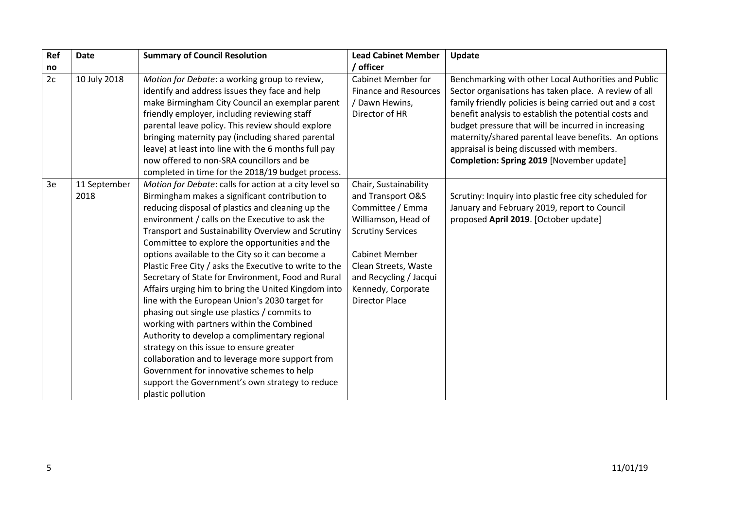| Ref | <b>Date</b>          | <b>Summary of Council Resolution</b>                                                                                                                                                                                                                                                                                                                                                                                                                                                                                                                                                                                                                                                                                                                                                                                                                                                                                                                                    | <b>Lead Cabinet Member</b>                                                                                                                                                                                                                  | Update                                                                                                                                                                                                                                                                                                                                                                                                                                       |
|-----|----------------------|-------------------------------------------------------------------------------------------------------------------------------------------------------------------------------------------------------------------------------------------------------------------------------------------------------------------------------------------------------------------------------------------------------------------------------------------------------------------------------------------------------------------------------------------------------------------------------------------------------------------------------------------------------------------------------------------------------------------------------------------------------------------------------------------------------------------------------------------------------------------------------------------------------------------------------------------------------------------------|---------------------------------------------------------------------------------------------------------------------------------------------------------------------------------------------------------------------------------------------|----------------------------------------------------------------------------------------------------------------------------------------------------------------------------------------------------------------------------------------------------------------------------------------------------------------------------------------------------------------------------------------------------------------------------------------------|
| no  |                      |                                                                                                                                                                                                                                                                                                                                                                                                                                                                                                                                                                                                                                                                                                                                                                                                                                                                                                                                                                         | / officer                                                                                                                                                                                                                                   |                                                                                                                                                                                                                                                                                                                                                                                                                                              |
| 2c  | 10 July 2018         | Motion for Debate: a working group to review,<br>identify and address issues they face and help<br>make Birmingham City Council an exemplar parent<br>friendly employer, including reviewing staff<br>parental leave policy. This review should explore<br>bringing maternity pay (including shared parental<br>leave) at least into line with the 6 months full pay<br>now offered to non-SRA councillors and be<br>completed in time for the 2018/19 budget process.                                                                                                                                                                                                                                                                                                                                                                                                                                                                                                  | <b>Cabinet Member for</b><br><b>Finance and Resources</b><br>/ Dawn Hewins,<br>Director of HR                                                                                                                                               | Benchmarking with other Local Authorities and Public<br>Sector organisations has taken place. A review of all<br>family friendly policies is being carried out and a cost<br>benefit analysis to establish the potential costs and<br>budget pressure that will be incurred in increasing<br>maternity/shared parental leave benefits. An options<br>appraisal is being discussed with members.<br>Completion: Spring 2019 [November update] |
| 3e  | 11 September<br>2018 | Motion for Debate: calls for action at a city level so<br>Birmingham makes a significant contribution to<br>reducing disposal of plastics and cleaning up the<br>environment / calls on the Executive to ask the<br>Transport and Sustainability Overview and Scrutiny<br>Committee to explore the opportunities and the<br>options available to the City so it can become a<br>Plastic Free City / asks the Executive to write to the<br>Secretary of State for Environment, Food and Rural<br>Affairs urging him to bring the United Kingdom into<br>line with the European Union's 2030 target for<br>phasing out single use plastics / commits to<br>working with partners within the Combined<br>Authority to develop a complimentary regional<br>strategy on this issue to ensure greater<br>collaboration and to leverage more support from<br>Government for innovative schemes to help<br>support the Government's own strategy to reduce<br>plastic pollution | Chair, Sustainability<br>and Transport O&S<br>Committee / Emma<br>Williamson, Head of<br><b>Scrutiny Services</b><br><b>Cabinet Member</b><br>Clean Streets, Waste<br>and Recycling / Jacqui<br>Kennedy, Corporate<br><b>Director Place</b> | Scrutiny: Inquiry into plastic free city scheduled for<br>January and February 2019, report to Council<br>proposed April 2019. [October update]                                                                                                                                                                                                                                                                                              |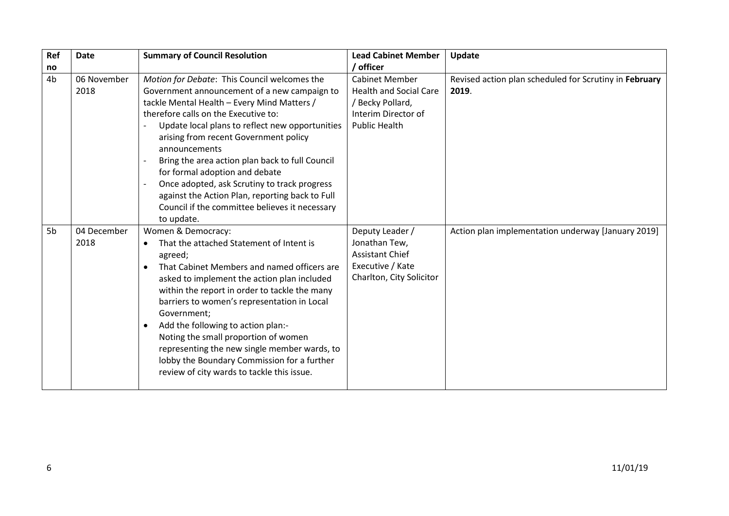| Ref | <b>Date</b>         | <b>Summary of Council Resolution</b>                                                                                                                                                                                                                                                                                                                                                                                                                                                                                                                     | <b>Lead Cabinet Member</b>                                                                                                | Update                                                          |
|-----|---------------------|----------------------------------------------------------------------------------------------------------------------------------------------------------------------------------------------------------------------------------------------------------------------------------------------------------------------------------------------------------------------------------------------------------------------------------------------------------------------------------------------------------------------------------------------------------|---------------------------------------------------------------------------------------------------------------------------|-----------------------------------------------------------------|
| no  |                     |                                                                                                                                                                                                                                                                                                                                                                                                                                                                                                                                                          | ' officer                                                                                                                 |                                                                 |
| 4b  | 06 November<br>2018 | Motion for Debate: This Council welcomes the<br>Government announcement of a new campaign to<br>tackle Mental Health - Every Mind Matters /<br>therefore calls on the Executive to:<br>Update local plans to reflect new opportunities<br>arising from recent Government policy<br>announcements<br>Bring the area action plan back to full Council<br>for formal adoption and debate<br>Once adopted, ask Scrutiny to track progress<br>against the Action Plan, reporting back to Full<br>Council if the committee believes it necessary<br>to update. | <b>Cabinet Member</b><br><b>Health and Social Care</b><br>/ Becky Pollard,<br>Interim Director of<br><b>Public Health</b> | Revised action plan scheduled for Scrutiny in February<br>2019. |
| 5b  | 04 December<br>2018 | Women & Democracy:<br>That the attached Statement of Intent is<br>$\bullet$<br>agreed;<br>That Cabinet Members and named officers are<br>asked to implement the action plan included<br>within the report in order to tackle the many<br>barriers to women's representation in Local<br>Government;<br>Add the following to action plan:-<br>$\bullet$<br>Noting the small proportion of women<br>representing the new single member wards, to<br>lobby the Boundary Commission for a further<br>review of city wards to tackle this issue.              | Deputy Leader /<br>Jonathan Tew,<br><b>Assistant Chief</b><br>Executive / Kate<br>Charlton, City Solicitor                | Action plan implementation underway [January 2019]              |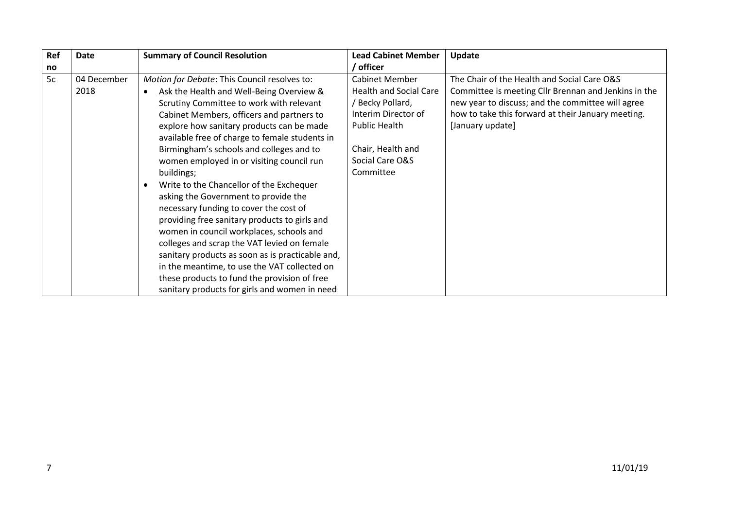| Ref | <b>Date</b>         | <b>Summary of Council Resolution</b>                                                                                                                                                                                                                                                                                                                                                                                                                                                                                                                                                                                                                                                                                                                                                                                                                                                             | <b>Lead Cabinet Member</b>                                                                                                                                                     | Update                                                                                                                                                                                                                             |
|-----|---------------------|--------------------------------------------------------------------------------------------------------------------------------------------------------------------------------------------------------------------------------------------------------------------------------------------------------------------------------------------------------------------------------------------------------------------------------------------------------------------------------------------------------------------------------------------------------------------------------------------------------------------------------------------------------------------------------------------------------------------------------------------------------------------------------------------------------------------------------------------------------------------------------------------------|--------------------------------------------------------------------------------------------------------------------------------------------------------------------------------|------------------------------------------------------------------------------------------------------------------------------------------------------------------------------------------------------------------------------------|
| no  |                     |                                                                                                                                                                                                                                                                                                                                                                                                                                                                                                                                                                                                                                                                                                                                                                                                                                                                                                  | / officer                                                                                                                                                                      |                                                                                                                                                                                                                                    |
| 5c  | 04 December<br>2018 | Motion for Debate: This Council resolves to:<br>Ask the Health and Well-Being Overview &<br>$\bullet$<br>Scrutiny Committee to work with relevant<br>Cabinet Members, officers and partners to<br>explore how sanitary products can be made<br>available free of charge to female students in<br>Birmingham's schools and colleges and to<br>women employed in or visiting council run<br>buildings;<br>Write to the Chancellor of the Exchequer<br>$\bullet$<br>asking the Government to provide the<br>necessary funding to cover the cost of<br>providing free sanitary products to girls and<br>women in council workplaces, schools and<br>colleges and scrap the VAT levied on female<br>sanitary products as soon as is practicable and,<br>in the meantime, to use the VAT collected on<br>these products to fund the provision of free<br>sanitary products for girls and women in need | <b>Cabinet Member</b><br><b>Health and Social Care</b><br>/ Becky Pollard,<br>Interim Director of<br><b>Public Health</b><br>Chair, Health and<br>Social Care O&S<br>Committee | The Chair of the Health and Social Care O&S<br>Committee is meeting Cllr Brennan and Jenkins in the<br>new year to discuss; and the committee will agree<br>how to take this forward at their January meeting.<br>[January update] |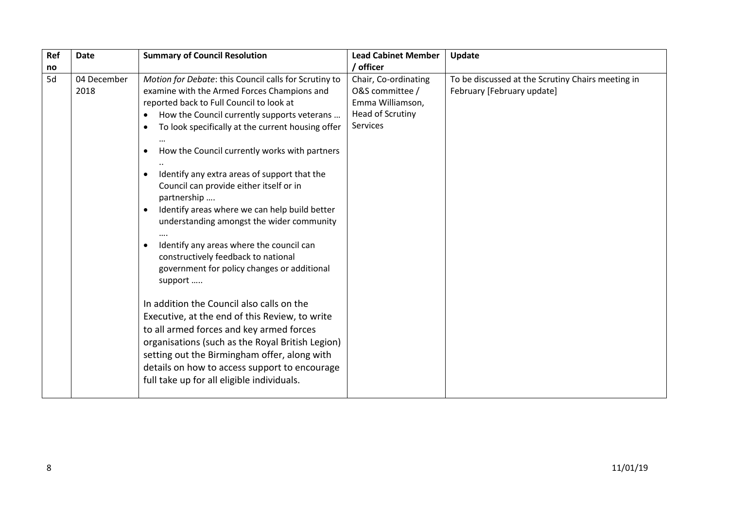| Ref      | <b>Date</b>         | <b>Summary of Council Resolution</b>                                                                                                                                                                                                                                                                                                                                                                                                                                                                                                                                                                                                                                                                                                                                                                                                                                                                                                                                                                                                                                           | <b>Lead Cabinet Member</b><br>/ officer                                                            | Update                                                                          |
|----------|---------------------|--------------------------------------------------------------------------------------------------------------------------------------------------------------------------------------------------------------------------------------------------------------------------------------------------------------------------------------------------------------------------------------------------------------------------------------------------------------------------------------------------------------------------------------------------------------------------------------------------------------------------------------------------------------------------------------------------------------------------------------------------------------------------------------------------------------------------------------------------------------------------------------------------------------------------------------------------------------------------------------------------------------------------------------------------------------------------------|----------------------------------------------------------------------------------------------------|---------------------------------------------------------------------------------|
| no<br>5d | 04 December<br>2018 | Motion for Debate: this Council calls for Scrutiny to<br>examine with the Armed Forces Champions and<br>reported back to Full Council to look at<br>How the Council currently supports veterans<br>$\bullet$<br>To look specifically at the current housing offer<br>$\bullet$<br>How the Council currently works with partners<br>٠<br>Identify any extra areas of support that the<br>$\bullet$<br>Council can provide either itself or in<br>partnership<br>Identify areas where we can help build better<br>$\bullet$<br>understanding amongst the wider community<br>Identify any areas where the council can<br>$\bullet$<br>constructively feedback to national<br>government for policy changes or additional<br>support<br>In addition the Council also calls on the<br>Executive, at the end of this Review, to write<br>to all armed forces and key armed forces<br>organisations (such as the Royal British Legion)<br>setting out the Birmingham offer, along with<br>details on how to access support to encourage<br>full take up for all eligible individuals. | Chair, Co-ordinating<br>O&S committee /<br>Emma Williamson,<br><b>Head of Scrutiny</b><br>Services | To be discussed at the Scrutiny Chairs meeting in<br>February [February update] |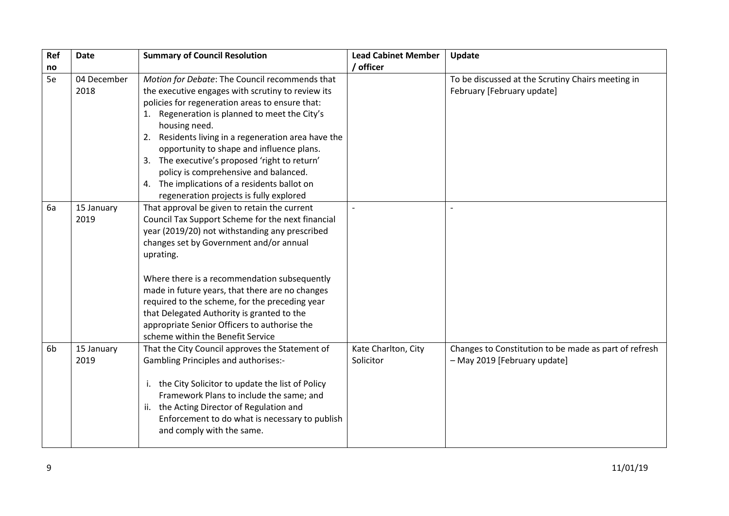| Ref | <b>Date</b>         | <b>Summary of Council Resolution</b>                                                                                                                                                                                                                                                                                                                                                                                                                                                                              | <b>Lead Cabinet Member</b>       | <b>Update</b>                                                                         |
|-----|---------------------|-------------------------------------------------------------------------------------------------------------------------------------------------------------------------------------------------------------------------------------------------------------------------------------------------------------------------------------------------------------------------------------------------------------------------------------------------------------------------------------------------------------------|----------------------------------|---------------------------------------------------------------------------------------|
| no  |                     |                                                                                                                                                                                                                                                                                                                                                                                                                                                                                                                   | / officer                        |                                                                                       |
| 5e  | 04 December<br>2018 | Motion for Debate: The Council recommends that<br>the executive engages with scrutiny to review its<br>policies for regeneration areas to ensure that:<br>1. Regeneration is planned to meet the City's<br>housing need.<br>2. Residents living in a regeneration area have the<br>opportunity to shape and influence plans.<br>3. The executive's proposed 'right to return'<br>policy is comprehensive and balanced.<br>4. The implications of a residents ballot on<br>regeneration projects is fully explored |                                  | To be discussed at the Scrutiny Chairs meeting in<br>February [February update]       |
| 6a  | 15 January<br>2019  | That approval be given to retain the current<br>Council Tax Support Scheme for the next financial<br>year (2019/20) not withstanding any prescribed<br>changes set by Government and/or annual<br>uprating.<br>Where there is a recommendation subsequently<br>made in future years, that there are no changes<br>required to the scheme, for the preceding year<br>that Delegated Authority is granted to the<br>appropriate Senior Officers to authorise the<br>scheme within the Benefit Service               |                                  |                                                                                       |
| 6b  | 15 January<br>2019  | That the City Council approves the Statement of<br><b>Gambling Principles and authorises:-</b><br>i. the City Solicitor to update the list of Policy<br>Framework Plans to include the same; and<br>ii. the Acting Director of Regulation and<br>Enforcement to do what is necessary to publish<br>and comply with the same.                                                                                                                                                                                      | Kate Charlton, City<br>Solicitor | Changes to Constitution to be made as part of refresh<br>- May 2019 [February update] |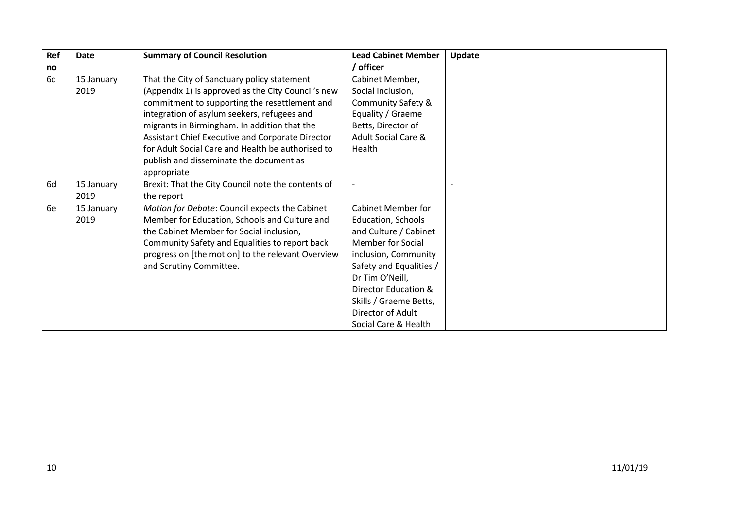| Ref | Date       | <b>Summary of Council Resolution</b>               | <b>Lead Cabinet Member</b>     | Update |
|-----|------------|----------------------------------------------------|--------------------------------|--------|
| no  |            |                                                    | / officer                      |        |
| 6c  | 15 January | That the City of Sanctuary policy statement        | Cabinet Member,                |        |
|     | 2019       | (Appendix 1) is approved as the City Council's new | Social Inclusion,              |        |
|     |            | commitment to supporting the resettlement and      | Community Safety &             |        |
|     |            | integration of asylum seekers, refugees and        | Equality / Graeme              |        |
|     |            | migrants in Birmingham. In addition that the       | Betts, Director of             |        |
|     |            | Assistant Chief Executive and Corporate Director   | <b>Adult Social Care &amp;</b> |        |
|     |            | for Adult Social Care and Health be authorised to  | Health                         |        |
|     |            | publish and disseminate the document as            |                                |        |
|     |            | appropriate                                        |                                |        |
| 6d  | 15 January | Brexit: That the City Council note the contents of |                                |        |
|     | 2019       | the report                                         |                                |        |
| 6e  | 15 January | Motion for Debate: Council expects the Cabinet     | <b>Cabinet Member for</b>      |        |
|     | 2019       | Member for Education, Schools and Culture and      | <b>Education, Schools</b>      |        |
|     |            | the Cabinet Member for Social inclusion,           | and Culture / Cabinet          |        |
|     |            | Community Safety and Equalities to report back     | <b>Member for Social</b>       |        |
|     |            | progress on [the motion] to the relevant Overview  | inclusion, Community           |        |
|     |            | and Scrutiny Committee.                            | Safety and Equalities /        |        |
|     |            |                                                    | Dr Tim O'Neill,                |        |
|     |            |                                                    | Director Education &           |        |
|     |            |                                                    | Skills / Graeme Betts,         |        |
|     |            |                                                    | Director of Adult              |        |
|     |            |                                                    | Social Care & Health           |        |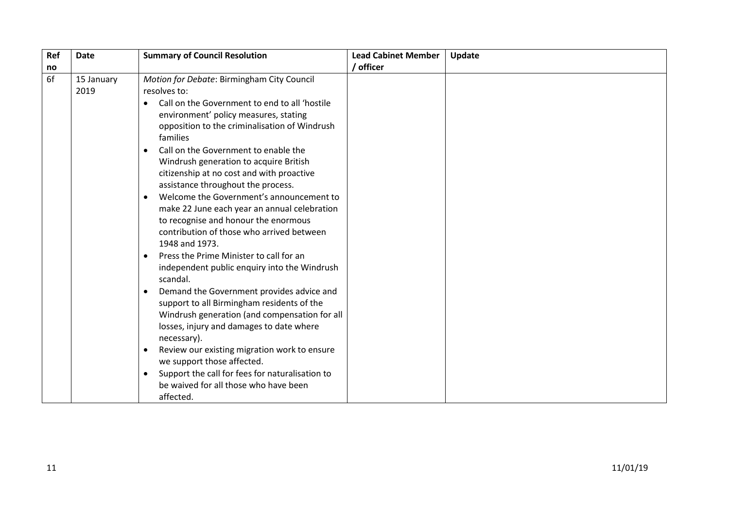| Ref | <b>Date</b>        | <b>Summary of Council Resolution</b>                                                                                                                                                                                                                                                                                                                                                                                                                                                                                                                                                                                                                                                                                                                                                                                                                                                                                                                                                                                                                                                                                                                                                      | <b>Lead Cabinet Member</b> | Update |
|-----|--------------------|-------------------------------------------------------------------------------------------------------------------------------------------------------------------------------------------------------------------------------------------------------------------------------------------------------------------------------------------------------------------------------------------------------------------------------------------------------------------------------------------------------------------------------------------------------------------------------------------------------------------------------------------------------------------------------------------------------------------------------------------------------------------------------------------------------------------------------------------------------------------------------------------------------------------------------------------------------------------------------------------------------------------------------------------------------------------------------------------------------------------------------------------------------------------------------------------|----------------------------|--------|
| no  |                    |                                                                                                                                                                                                                                                                                                                                                                                                                                                                                                                                                                                                                                                                                                                                                                                                                                                                                                                                                                                                                                                                                                                                                                                           | / officer                  |        |
| 6f  | 15 January<br>2019 | Motion for Debate: Birmingham City Council<br>resolves to:<br>Call on the Government to end to all 'hostile<br>$\bullet$<br>environment' policy measures, stating<br>opposition to the criminalisation of Windrush<br>families<br>Call on the Government to enable the<br>$\bullet$<br>Windrush generation to acquire British<br>citizenship at no cost and with proactive<br>assistance throughout the process.<br>Welcome the Government's announcement to<br>$\bullet$<br>make 22 June each year an annual celebration<br>to recognise and honour the enormous<br>contribution of those who arrived between<br>1948 and 1973.<br>Press the Prime Minister to call for an<br>$\bullet$<br>independent public enquiry into the Windrush<br>scandal.<br>Demand the Government provides advice and<br>$\bullet$<br>support to all Birmingham residents of the<br>Windrush generation (and compensation for all<br>losses, injury and damages to date where<br>necessary).<br>Review our existing migration work to ensure<br>$\bullet$<br>we support those affected.<br>Support the call for fees for naturalisation to<br>$\bullet$<br>be waived for all those who have been<br>affected. |                            |        |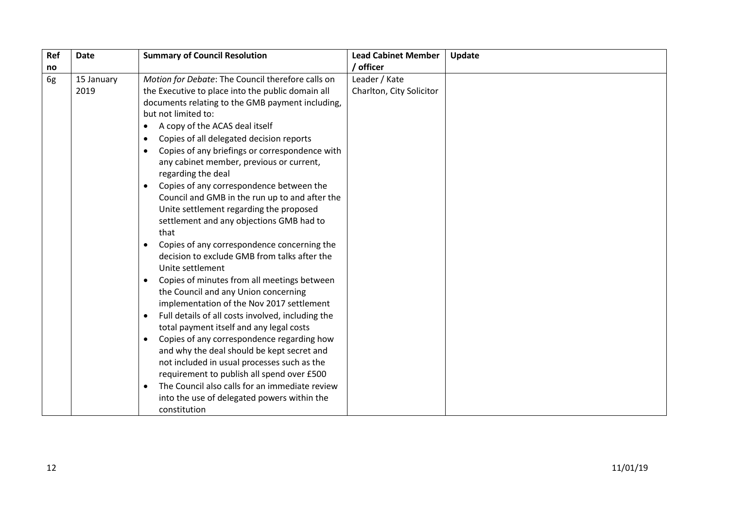| Ref | <b>Date</b>        | <b>Summary of Council Resolution</b>                                                                                                                                                                                                                                                                                                                                                                                                                                                                                                                                                                                                                                                                                                                                                                                                                                                                                                                                                                                                                                                                                                                                                                                                                                                                                                                                    | <b>Lead Cabinet Member</b>                | Update |
|-----|--------------------|-------------------------------------------------------------------------------------------------------------------------------------------------------------------------------------------------------------------------------------------------------------------------------------------------------------------------------------------------------------------------------------------------------------------------------------------------------------------------------------------------------------------------------------------------------------------------------------------------------------------------------------------------------------------------------------------------------------------------------------------------------------------------------------------------------------------------------------------------------------------------------------------------------------------------------------------------------------------------------------------------------------------------------------------------------------------------------------------------------------------------------------------------------------------------------------------------------------------------------------------------------------------------------------------------------------------------------------------------------------------------|-------------------------------------------|--------|
| no  |                    |                                                                                                                                                                                                                                                                                                                                                                                                                                                                                                                                                                                                                                                                                                                                                                                                                                                                                                                                                                                                                                                                                                                                                                                                                                                                                                                                                                         | / officer                                 |        |
| 6g  | 15 January<br>2019 | Motion for Debate: The Council therefore calls on<br>the Executive to place into the public domain all<br>documents relating to the GMB payment including,<br>but not limited to:<br>A copy of the ACAS deal itself<br>$\bullet$<br>Copies of all delegated decision reports<br>$\bullet$<br>Copies of any briefings or correspondence with<br>$\bullet$<br>any cabinet member, previous or current,<br>regarding the deal<br>Copies of any correspondence between the<br>$\bullet$<br>Council and GMB in the run up to and after the<br>Unite settlement regarding the proposed<br>settlement and any objections GMB had to<br>that<br>Copies of any correspondence concerning the<br>$\bullet$<br>decision to exclude GMB from talks after the<br>Unite settlement<br>Copies of minutes from all meetings between<br>$\bullet$<br>the Council and any Union concerning<br>implementation of the Nov 2017 settlement<br>Full details of all costs involved, including the<br>$\bullet$<br>total payment itself and any legal costs<br>Copies of any correspondence regarding how<br>$\bullet$<br>and why the deal should be kept secret and<br>not included in usual processes such as the<br>requirement to publish all spend over £500<br>The Council also calls for an immediate review<br>$\bullet$<br>into the use of delegated powers within the<br>constitution | Leader / Kate<br>Charlton, City Solicitor |        |